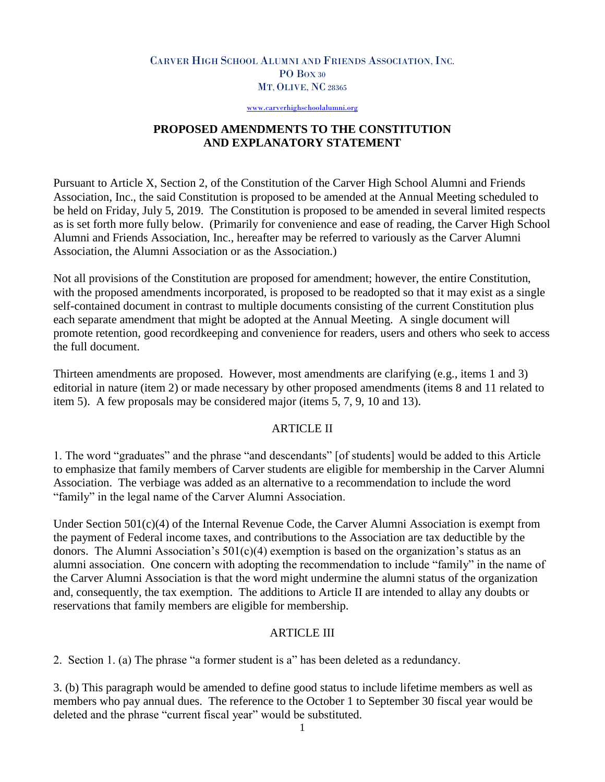### CARVER HIGH SCHOOL ALUMNI AND FRIENDS ASSOCIATION, INC. PO Box 30 MT, OLIVE, NC 28365

[www.carverhighschoolalumni.org](http://www.carverhighschoolalumni.org/)

### **PROPOSED AMENDMENTS TO THE CONSTITUTION AND EXPLANATORY STATEMENT**

Pursuant to Article X, Section 2, of the Constitution of the Carver High School Alumni and Friends Association, Inc., the said Constitution is proposed to be amended at the Annual Meeting scheduled to be held on Friday, July 5, 2019. The Constitution is proposed to be amended in several limited respects as is set forth more fully below. (Primarily for convenience and ease of reading, the Carver High School Alumni and Friends Association, Inc., hereafter may be referred to variously as the Carver Alumni Association, the Alumni Association or as the Association.)

Not all provisions of the Constitution are proposed for amendment; however, the entire Constitution, with the proposed amendments incorporated, is proposed to be readopted so that it may exist as a single self-contained document in contrast to multiple documents consisting of the current Constitution plus each separate amendment that might be adopted at the Annual Meeting. A single document will promote retention, good recordkeeping and convenience for readers, users and others who seek to access the full document.

Thirteen amendments are proposed. However, most amendments are clarifying (e.g., items 1 and 3) editorial in nature (item 2) or made necessary by other proposed amendments (items 8 and 11 related to item 5). A few proposals may be considered major (items 5, 7, 9, 10 and 13).

### ARTICLE II

1. The word "graduates" and the phrase "and descendants" [of students] would be added to this Article to emphasize that family members of Carver students are eligible for membership in the Carver Alumni Association. The verbiage was added as an alternative to a recommendation to include the word "family" in the legal name of the Carver Alumni Association.

Under Section  $501(c)(4)$  of the Internal Revenue Code, the Carver Alumni Association is exempt from the payment of Federal income taxes, and contributions to the Association are tax deductible by the donors. The Alumni Association's  $501(c)(4)$  exemption is based on the organization's status as an alumni association. One concern with adopting the recommendation to include "family" in the name of the Carver Alumni Association is that the word might undermine the alumni status of the organization and, consequently, the tax exemption. The additions to Article II are intended to allay any doubts or reservations that family members are eligible for membership.

# ARTICLE III

2. Section 1. (a) The phrase "a former student is a" has been deleted as a redundancy.

3. (b) This paragraph would be amended to define good status to include lifetime members as well as members who pay annual dues. The reference to the October 1 to September 30 fiscal year would be deleted and the phrase "current fiscal year" would be substituted.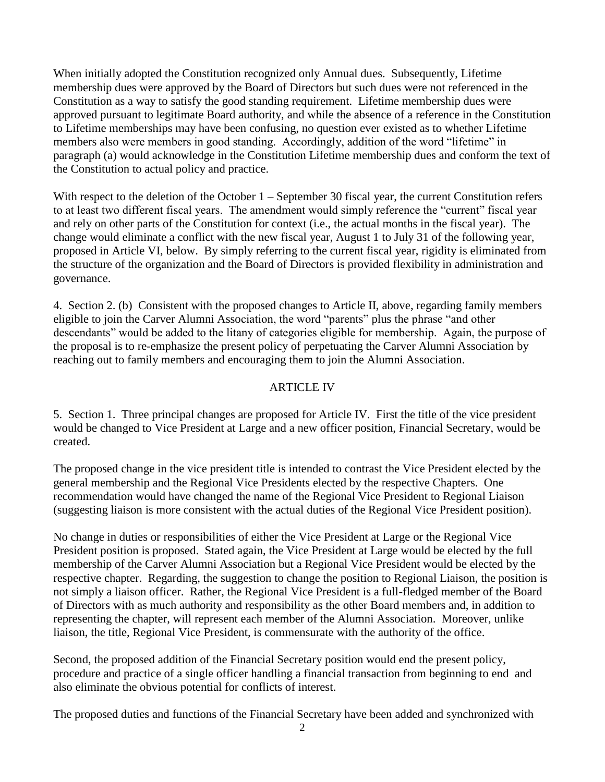When initially adopted the Constitution recognized only Annual dues. Subsequently, Lifetime membership dues were approved by the Board of Directors but such dues were not referenced in the Constitution as a way to satisfy the good standing requirement. Lifetime membership dues were approved pursuant to legitimate Board authority, and while the absence of a reference in the Constitution to Lifetime memberships may have been confusing, no question ever existed as to whether Lifetime members also were members in good standing. Accordingly, addition of the word "lifetime" in paragraph (a) would acknowledge in the Constitution Lifetime membership dues and conform the text of the Constitution to actual policy and practice.

With respect to the deletion of the October 1 – September 30 fiscal year, the current Constitution refers to at least two different fiscal years. The amendment would simply reference the "current" fiscal year and rely on other parts of the Constitution for context (i.e., the actual months in the fiscal year). The change would eliminate a conflict with the new fiscal year, August 1 to July 31 of the following year, proposed in Article VI, below. By simply referring to the current fiscal year, rigidity is eliminated from the structure of the organization and the Board of Directors is provided flexibility in administration and governance.

4. Section 2. (b) Consistent with the proposed changes to Article II, above, regarding family members eligible to join the Carver Alumni Association, the word "parents" plus the phrase "and other descendants" would be added to the litany of categories eligible for membership. Again, the purpose of the proposal is to re-emphasize the present policy of perpetuating the Carver Alumni Association by reaching out to family members and encouraging them to join the Alumni Association.

# ARTICLE IV

5. Section 1. Three principal changes are proposed for Article IV. First the title of the vice president would be changed to Vice President at Large and a new officer position, Financial Secretary, would be created.

The proposed change in the vice president title is intended to contrast the Vice President elected by the general membership and the Regional Vice Presidents elected by the respective Chapters. One recommendation would have changed the name of the Regional Vice President to Regional Liaison (suggesting liaison is more consistent with the actual duties of the Regional Vice President position).

No change in duties or responsibilities of either the Vice President at Large or the Regional Vice President position is proposed. Stated again, the Vice President at Large would be elected by the full membership of the Carver Alumni Association but a Regional Vice President would be elected by the respective chapter. Regarding, the suggestion to change the position to Regional Liaison, the position is not simply a liaison officer. Rather, the Regional Vice President is a full-fledged member of the Board of Directors with as much authority and responsibility as the other Board members and, in addition to representing the chapter, will represent each member of the Alumni Association. Moreover, unlike liaison, the title, Regional Vice President, is commensurate with the authority of the office.

Second, the proposed addition of the Financial Secretary position would end the present policy, procedure and practice of a single officer handling a financial transaction from beginning to end and also eliminate the obvious potential for conflicts of interest.

The proposed duties and functions of the Financial Secretary have been added and synchronized with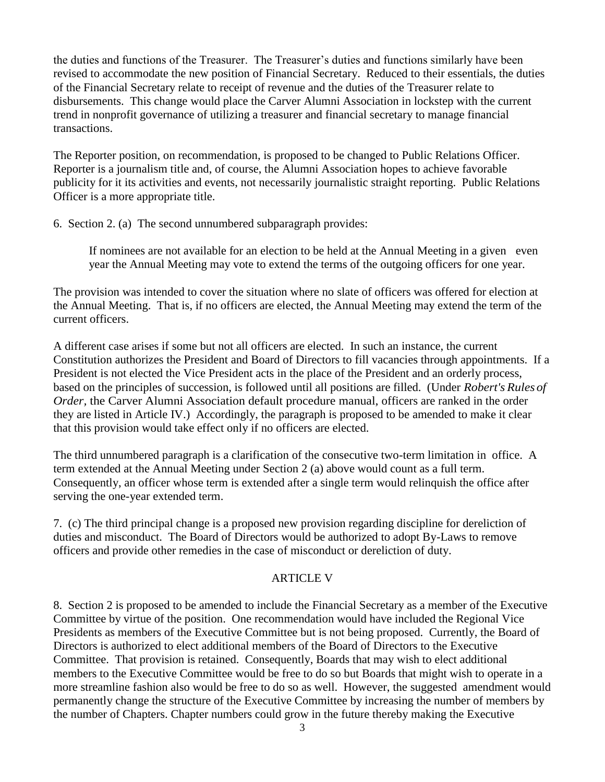the duties and functions of the Treasurer. The Treasurer's duties and functions similarly have been revised to accommodate the new position of Financial Secretary. Reduced to their essentials, the duties of the Financial Secretary relate to receipt of revenue and the duties of the Treasurer relate to disbursements. This change would place the Carver Alumni Association in lockstep with the current trend in nonprofit governance of utilizing a treasurer and financial secretary to manage financial transactions.

The Reporter position, on recommendation, is proposed to be changed to Public Relations Officer. Reporter is a journalism title and, of course, the Alumni Association hopes to achieve favorable publicity for it its activities and events, not necessarily journalistic straight reporting. Public Relations Officer is a more appropriate title.

6. Section 2. (a) The second unnumbered subparagraph provides:

If nominees are not available for an election to be held at the Annual Meeting in a given even year the Annual Meeting may vote to extend the terms of the outgoing officers for one year.

The provision was intended to cover the situation where no slate of officers was offered for election at the Annual Meeting. That is, if no officers are elected, the Annual Meeting may extend the term of the current officers.

A different case arises if some but not all officers are elected. In such an instance, the current Constitution authorizes the President and Board of Directors to fill vacancies through appointments. If a President is not elected the Vice President acts in the place of the President and an orderly process, based on the principles of succession, is followed until all positions are filled. (Under *Robert's Rules of Order*, the Carver Alumni Association default procedure manual, officers are ranked in the order they are listed in Article IV.) Accordingly, the paragraph is proposed to be amended to make it clear that this provision would take effect only if no officers are elected.

The third unnumbered paragraph is a clarification of the consecutive two-term limitation in office. A term extended at the Annual Meeting under Section 2 (a) above would count as a full term. Consequently, an officer whose term is extended after a single term would relinquish the office after serving the one-year extended term.

7. (c) The third principal change is a proposed new provision regarding discipline for dereliction of duties and misconduct. The Board of Directors would be authorized to adopt By-Laws to remove officers and provide other remedies in the case of misconduct or dereliction of duty.

# ARTICLE V

8. Section 2 is proposed to be amended to include the Financial Secretary as a member of the Executive Committee by virtue of the position. One recommendation would have included the Regional Vice Presidents as members of the Executive Committee but is not being proposed. Currently, the Board of Directors is authorized to elect additional members of the Board of Directors to the Executive Committee. That provision is retained. Consequently, Boards that may wish to elect additional members to the Executive Committee would be free to do so but Boards that might wish to operate in a more streamline fashion also would be free to do so as well. However, the suggested amendment would permanently change the structure of the Executive Committee by increasing the number of members by the number of Chapters. Chapter numbers could grow in the future thereby making the Executive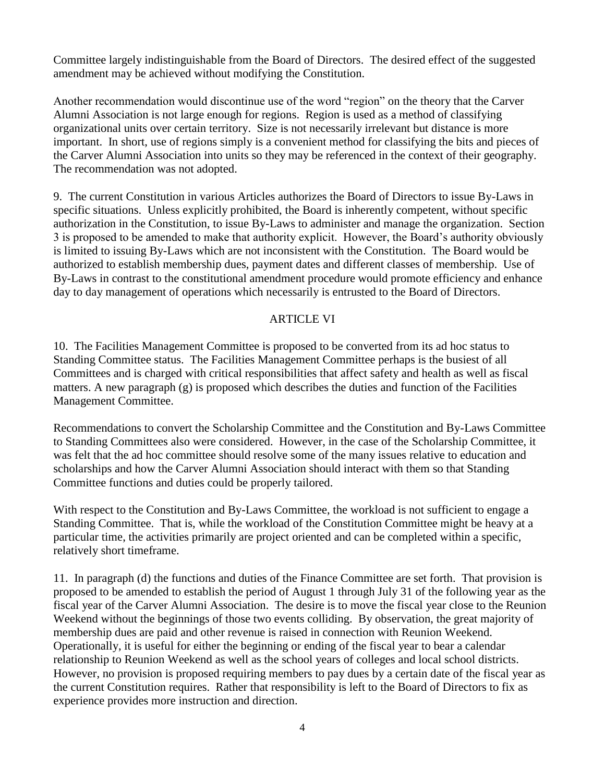Committee largely indistinguishable from the Board of Directors. The desired effect of the suggested amendment may be achieved without modifying the Constitution.

Another recommendation would discontinue use of the word "region" on the theory that the Carver Alumni Association is not large enough for regions. Region is used as a method of classifying organizational units over certain territory. Size is not necessarily irrelevant but distance is more important. In short, use of regions simply is a convenient method for classifying the bits and pieces of the Carver Alumni Association into units so they may be referenced in the context of their geography. The recommendation was not adopted.

9. The current Constitution in various Articles authorizes the Board of Directors to issue By-Laws in specific situations. Unless explicitly prohibited, the Board is inherently competent, without specific authorization in the Constitution, to issue By-Laws to administer and manage the organization. Section 3 is proposed to be amended to make that authority explicit. However, the Board's authority obviously is limited to issuing By-Laws which are not inconsistent with the Constitution. The Board would be authorized to establish membership dues, payment dates and different classes of membership. Use of By-Laws in contrast to the constitutional amendment procedure would promote efficiency and enhance day to day management of operations which necessarily is entrusted to the Board of Directors.

# ARTICLE VI

10. The Facilities Management Committee is proposed to be converted from its ad hoc status to Standing Committee status. The Facilities Management Committee perhaps is the busiest of all Committees and is charged with critical responsibilities that affect safety and health as well as fiscal matters. A new paragraph (g) is proposed which describes the duties and function of the Facilities Management Committee.

Recommendations to convert the Scholarship Committee and the Constitution and By-Laws Committee to Standing Committees also were considered. However, in the case of the Scholarship Committee, it was felt that the ad hoc committee should resolve some of the many issues relative to education and scholarships and how the Carver Alumni Association should interact with them so that Standing Committee functions and duties could be properly tailored.

With respect to the Constitution and By-Laws Committee, the workload is not sufficient to engage a Standing Committee. That is, while the workload of the Constitution Committee might be heavy at a particular time, the activities primarily are project oriented and can be completed within a specific, relatively short timeframe.

11. In paragraph (d) the functions and duties of the Finance Committee are set forth. That provision is proposed to be amended to establish the period of August 1 through July 31 of the following year as the fiscal year of the Carver Alumni Association. The desire is to move the fiscal year close to the Reunion Weekend without the beginnings of those two events colliding. By observation, the great majority of membership dues are paid and other revenue is raised in connection with Reunion Weekend. Operationally, it is useful for either the beginning or ending of the fiscal year to bear a calendar relationship to Reunion Weekend as well as the school years of colleges and local school districts. However, no provision is proposed requiring members to pay dues by a certain date of the fiscal year as the current Constitution requires. Rather that responsibility is left to the Board of Directors to fix as experience provides more instruction and direction.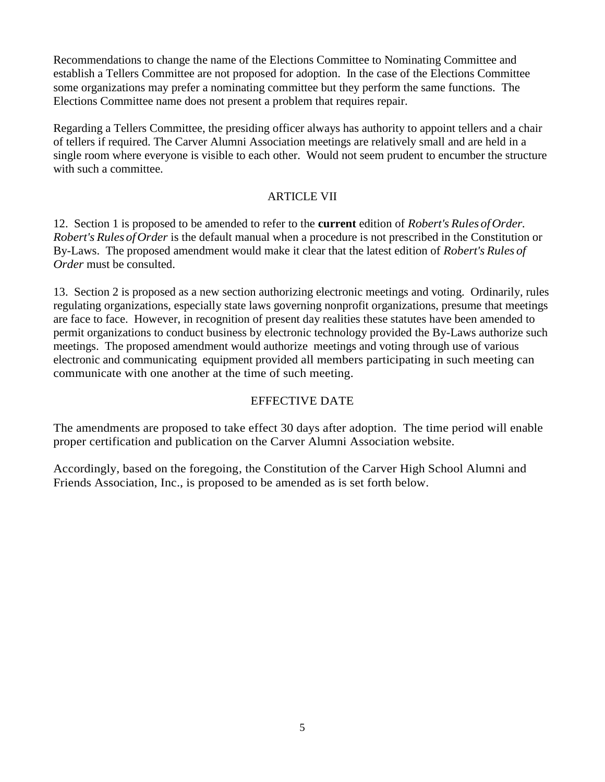Recommendations to change the name of the Elections Committee to Nominating Committee and establish a Tellers Committee are not proposed for adoption. In the case of the Elections Committee some organizations may prefer a nominating committee but they perform the same functions. The Elections Committee name does not present a problem that requires repair.

Regarding a Tellers Committee, the presiding officer always has authority to appoint tellers and a chair of tellers if required. The Carver Alumni Association meetings are relatively small and are held in a single room where everyone is visible to each other. Would not seem prudent to encumber the structure with such a committee.

# **ARTICLE VII**

12. Section 1 is proposed to be amended to refer to the **current** edition of *Robert's Rules ofOrder. Robert's Rules ofOrder* is the default manual when a procedure is not prescribed in the Constitution or By-Laws. The proposed amendment would make it clear that the latest edition of *Robert's Rules of Order* must be consulted.

13. Section 2 is proposed as a new section authorizing electronic meetings and voting. Ordinarily, rules regulating organizations, especially state laws governing nonprofit organizations, presume that meetings are face to face. However, in recognition of present day realities these statutes have been amended to permit organizations to conduct business by electronic technology provided the By-Laws authorize such meetings. The proposed amendment would authorize meetings and voting through use of various electronic and communicating equipment provided all members participating in such meeting can communicate with one another at the time of such meeting.

# EFFECTIVE DATE

The amendments are proposed to take effect 30 days after adoption. The time period will enable proper certification and publication on the Carver Alumni Association website.

Accordingly, based on the foregoing, the Constitution of the Carver High School Alumni and Friends Association, Inc., is proposed to be amended as is set forth below.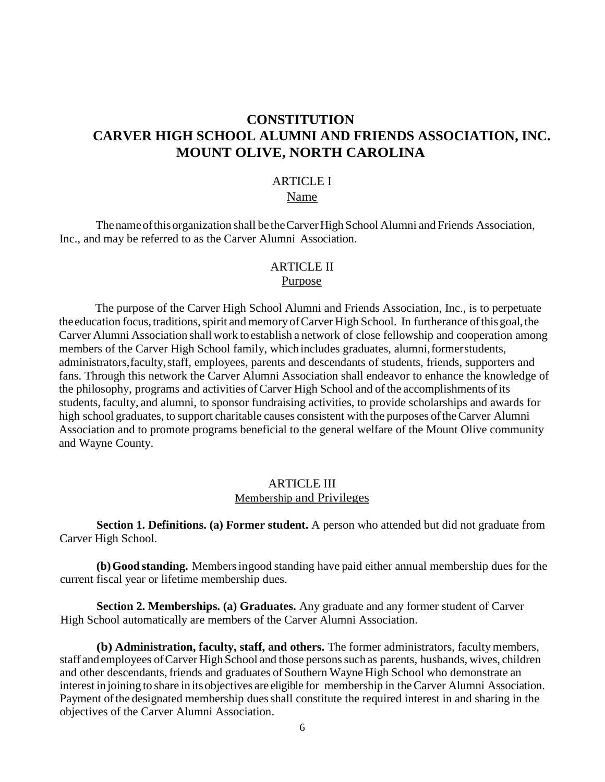# **CONSTITUTION CARVER HIGH SCHOOL ALUMNI AND FRIENDS ASSOCIATION, INC. MOUNT OLIVE, NORTH CAROLINA**

# ARTICLE I

# Name

Thenameofthisorganization shall be theCarverHigh School Alumni and Friends Association, Inc., and may be referred to as the Carver Alumni Association.

#### ARTICLE II Purpose

The purpose of the Carver High School Alumni and Friends Association, Inc., is to perpetuate the education focus, traditions, spirit and memory of Carver High School. In furtherance of this goal, the Carver Alumni Association shall work toestablish a network of close fellowship and cooperation among members of the Carver High School family, whichincludes graduates, alumni,formerstudents, administrators,faculty,staff, employees, parents and descendants of students, friends, supporters and fans. Through this network the Carver Alumni Association shall endeavor to enhance the knowledge of the philosophy, programs and activities of Carver High School and of the accomplishments ofits students, faculty, and alumni, to sponsor fundraising activities, to provide scholarships and awards for high school graduates, to support charitable causes consistent with the purposes of the Carver Alumni Association and to promote programs beneficial to the general welfare of the Mount Olive community and Wayne County.

### ARTICLE III Membership and Privileges

**Section 1. Definitions. (a) Former student.** A person who attended but did not graduate from Carver High School.

**(b)Good standing.** Membersingood standing have paid either annual membership dues for the current fiscal year or lifetime membership dues.

**Section 2. Memberships. (a) Graduates.** Any graduate and any former student of Carver High School automatically are members of the Carver Alumni Association.

**(b) Administration, faculty, staff, and others.** The former administrators, faculty members, staff and employees of Carver High School and those persons such as parents, husbands, wives, children and other descendants, friends and graduates of Southern Wayne High School who demonstrate an interest in joining to share in itsobjectives are eligible for membership in theCarver Alumni Association. Payment of the designated membership dues shall constitute the required interest in and sharing in the objectives of the Carver Alumni Association.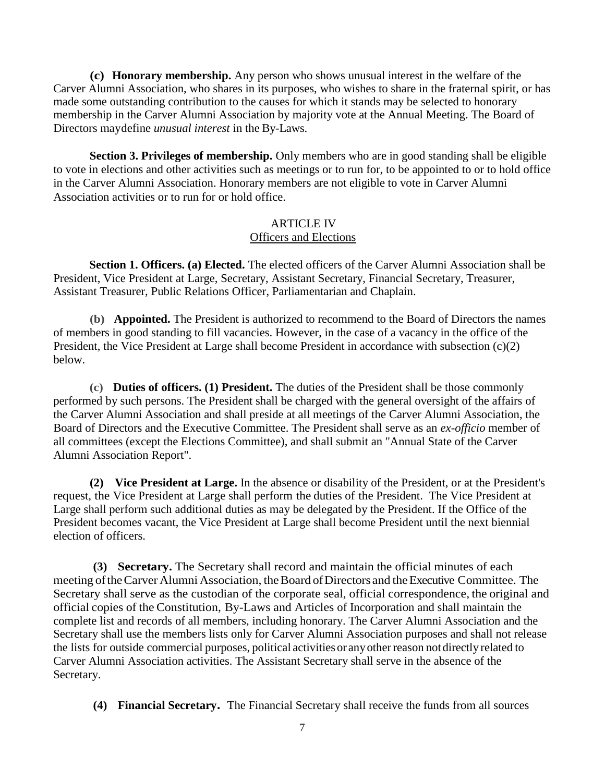**(c) Honorary membership.** Any person who shows unusual interest in the welfare of the Carver Alumni Association, who shares in its purposes, who wishes to share in the fraternal spirit, or has made some outstanding contribution to the causes for which it stands may be selected to honorary membership in the Carver Alumni Association by majority vote at the Annual Meeting. The Board of Directors maydefine *unusual interest* in the By-Laws.

**Section 3. Privileges of membership.** Only members who are in good standing shall be eligible to vote in elections and other activities such as meetings or to run for, to be appointed to or to hold office in the Carver Alumni Association. Honorary members are not eligible to vote in Carver Alumni Association activities or to run for or hold office.

### ARTICLE IV Officers and Elections

**Section 1. Officers. (a) Elected.** The elected officers of the Carver Alumni Association shall be President, Vice President at Large, Secretary, Assistant Secretary, Financial Secretary, Treasurer, Assistant Treasurer, Public Relations Officer, Parliamentarian and Chaplain.

**(b) Appointed.** The President is authorized to recommend to the Board of Directors the names of members in good standing to fill vacancies. However, in the case of a vacancy in the office of the President, the Vice President at Large shall become President in accordance with subsection (c)(2) below.

**(c) Duties of officers. (1) President.** The duties of the President shall be those commonly performed by such persons. The President shall be charged with the general oversight of the affairs of the Carver Alumni Association and shall preside at all meetings of the Carver Alumni Association, the Board of Directors and the Executive Committee. The President shall serve as an *ex-officio* member of all committees (except the Elections Committee), and shall submit an "Annual State of the Carver Alumni Association Report".

**(2) Vice President at Large.** In the absence or disability of the President, or at the President's request, the Vice President at Large shall perform the duties of the President. The Vice President at Large shall perform such additional duties as may be delegated by the President. If the Office of the President becomes vacant, the Vice President at Large shall become President until the next biennial election of officers.

**(3) Secretary.** The Secretary shall record and maintain the official minutes of each meeting of the Carver Alumni Association, the Board of Directors and the Executive Committee. The Secretary shall serve as the custodian of the corporate seal, official correspondence, the original and official copies of the Constitution, By-Laws and Articles of Incorporation and shall maintain the complete list and records of all members, including honorary. The Carver Alumni Association and the Secretary shall use the members lists only for Carver Alumni Association purposes and shall not release the lists for outside commercial purposes, political activitiesor anyotherreason notdirectly related to Carver Alumni Association activities. The Assistant Secretary shall serve in the absence of the Secretary.

**(4) Financial Secretary.** The Financial Secretary shall receive the funds from all sources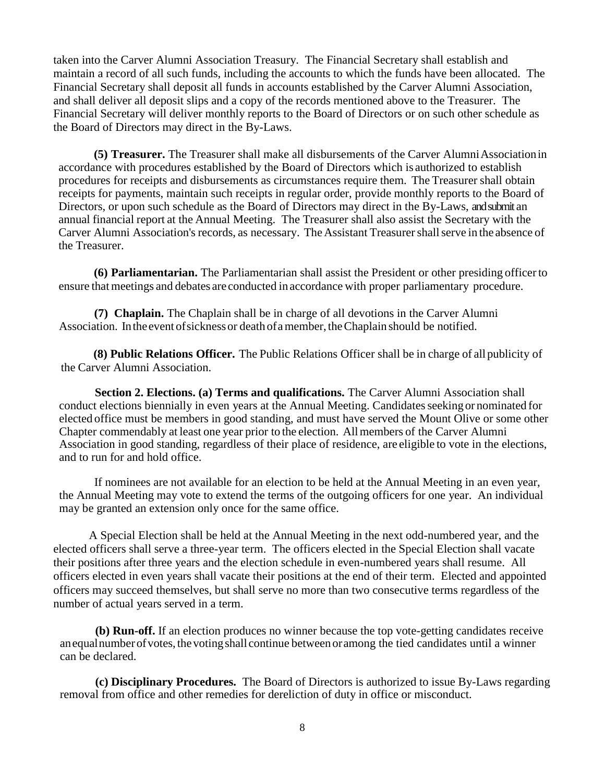taken into the Carver Alumni Association Treasury. The Financial Secretary shall establish and maintain a record of all such funds, including the accounts to which the funds have been allocated. The Financial Secretary shall deposit all funds in accounts established by the Carver Alumni Association, and shall deliver all deposit slips and a copy of the records mentioned above to the Treasurer. The Financial Secretary will deliver monthly reports to the Board of Directors or on such other schedule as the Board of Directors may direct in the By-Laws.

**(5) Treasurer.** The Treasurer shall make all disbursements of the Carver Alumni Association in accordance with procedures established by the Board of Directors which is authorized to establish procedures for receipts and disbursements as circumstances require them. The Treasurer shall obtain receipts for payments, maintain such receipts in regular order, provide monthly reports to the Board of Directors, or upon such schedule as the Board of Directors may direct in the By-Laws, and submit an annual financial report at the Annual Meeting. The Treasurer shall also assist the Secretary with the Carver Alumni Association's records, as necessary. The Assistant Treasurer shall serve in the absence of the Treasurer.

**(6) Parliamentarian.** The Parliamentarian shall assist the President or other presiding officerto ensure that meetings and debates are conducted in accordance with proper parliamentary procedure.

**(7) Chaplain.** The Chaplain shall be in charge of all devotions in the Carver Alumni Association. In the event of sickness or death of a member, the Chaplain should be notified.

 **(8) Public Relations Officer.** The Public Relations Officer shall be in charge of allpublicity of the Carver Alumni Association.

 **Section 2. Elections. (a) Terms and qualifications.** The Carver Alumni Association shall conduct elections biennially in even years at the Annual Meeting. Candidates seeking or nominated for elected office must be members in good standing, and must have served the Mount Olive or some other Chapter commendably at least one year prior to the election. Allmembers of the Carver Alumni Association in good standing, regardless of their place of residence, are eligible to vote in the elections, and to run for and hold office.

If nominees are not available for an election to be held at the Annual Meeting in an even year, the Annual Meeting may vote to extend the terms of the outgoing officers for one year. An individual may be granted an extension only once for the same office.

A Special Election shall be held at the Annual Meeting in the next odd-numbered year, and the elected officers shall serve a three-year term. The officers elected in the Special Election shall vacate their positions after three years and the election schedule in even-numbered years shall resume. All officers elected in even years shall vacate their positions at the end of their term. Elected and appointed officers may succeed themselves, but shall serve no more than two consecutive terms regardless of the number of actual years served in a term.

**(b) Run-off.** If an election produces no winner because the top vote-getting candidates receive anequalnumberofvotes,thevotingshall continue between oramong the tied candidates until a winner can be declared.

**(c) Disciplinary Procedures.** The Board of Directors is authorized to issue By-Laws regarding removal from office and other remedies for dereliction of duty in office or misconduct.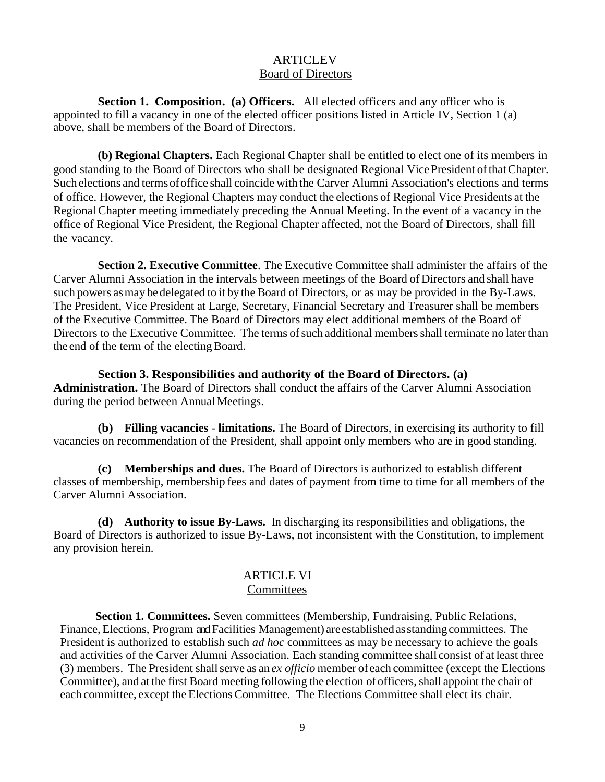### **ARTICLEV** Board of Directors

**Section 1. Composition. (a) Officers.** All elected officers and any officer who is appointed to fill a vacancy in one of the elected officer positions listed in Article IV, Section 1 (a) above, shall be members of the Board of Directors.

**(b) Regional Chapters.** Each Regional Chapter shall be entitled to elect one of its members in good standing to the Board of Directors who shall be designated Regional VicePresident ofthatChapter. Such elections and termsofoffice shall coincide with the Carver Alumni Association's elections and terms of office. However, the Regional Chapters may conduct the elections of Regional Vice Presidents at the Regional Chapter meeting immediately preceding the Annual Meeting. In the event of a vacancy in the office of Regional Vice President, the Regional Chapter affected, not the Board of Directors, shall fill the vacancy.

**Section 2. Executive Committee**. The Executive Committee shall administer the affairs of the Carver Alumni Association in the intervals between meetings of the Board of Directors and shall have such powers as may be delegated to it by the Board of Directors, or as may be provided in the By-Laws. The President, Vice President at Large, Secretary, Financial Secretary and Treasurer shall be members of the Executive Committee. The Board of Directors may elect additional members of the Board of Directors to the Executive Committee. The terms of such additional members shall terminate no later than the end of the term of the electing Board.

**Section 3. Responsibilities and authority of the Board of Directors. (a) Administration.** The Board of Directors shall conduct the affairs of the Carver Alumni Association during the period between Annual Meetings.

**(b) Filling vacancies** - **limitations.** The Board of Directors, in exercising its authority to fill vacancies on recommendation of the President, shall appoint only members who are in good standing.

**(c) Memberships and dues.** The Board of Directors is authorized to establish different classes of membership, membership fees and dates of payment from time to time for all members of the Carver Alumni Association.

**(d) Authority to issue By-Laws.** In discharging its responsibilities and obligations, the Board of Directors is authorized to issue By-Laws, not inconsistent with the Constitution, to implement any provision herein.

### ARTICLE VI **Committees**

**Section 1. Committees.** Seven committees (Membership, Fundraising, Public Relations, Finance, Elections, Program and Facilities Management) are established as standing committees. The President is authorized to establish such *ad hoc* committees as may be necessary to achieve the goals and activities of the Carver Alumni Association. Each standing committee shall consist of at least three (3) members. The President shallserve as an *ex officio* member ofeach committee (except the Elections Committee), and at the first Board meeting following the election of officers, shall appoint the chair of each committee, except the Elections Committee. The Elections Committee shall elect its chair.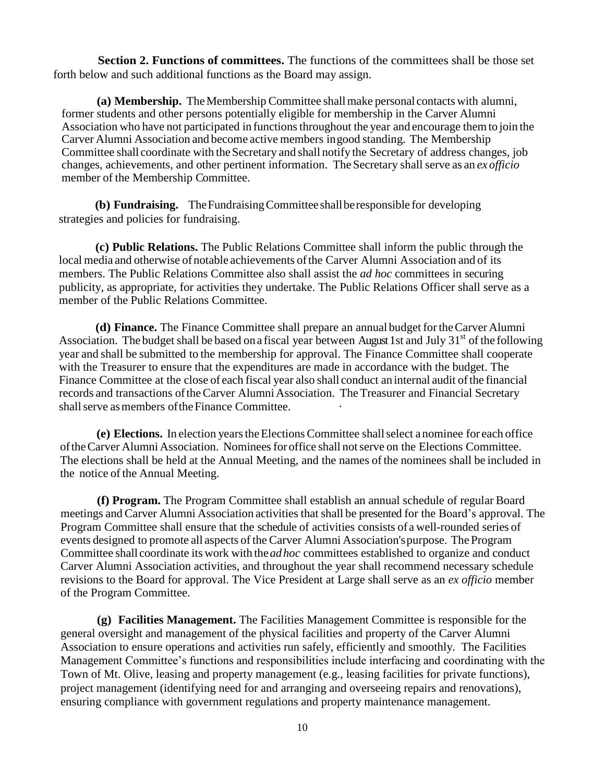**Section 2. Functions of committees.** The functions of the committees shall be those set forth below and such additional functions as the Board may assign.

**(a) Membership.** The Membership Committee shall make personal contacts with alumni, former students and other persons potentially eligible for membership in the Carver Alumni Association who have not participated in functions throughout the year and encourage them to join the Carver Alumni Association and become active members ingood standing. The Membership Committee shall coordinate with the Secretary and shall notify the Secretary of address changes, job changes, achievements, and other pertinent information. The Secretary shallserve as an *ex officio* member of the Membership Committee.

**(b) Fundraising.** TheFundraisingCommitteeshallberesponsible for developing strategies and policies for fundraising.

**(c) Public Relations.** The Public Relations Committee shall inform the public through the local media and otherwise of notable achievements of the Carver Alumni Association and of its members. The Public Relations Committee also shall assist the *ad hoc* committees in securing publicity, as appropriate, for activities they undertake. The Public Relations Officer shall serve as a member of the Public Relations Committee.

**(d) Finance.** The Finance Committee shall prepare an annual budget fortheCarver Alumni Association. The budget shall be based on a fiscal year between August 1st and July  $31<sup>st</sup>$  of the following year and shall be submitted to the membership for approval. The Finance Committee shall cooperate with the Treasurer to ensure that the expenditures are made in accordance with the budget. The Finance Committee at the close of each fiscal year also shall conduct an internal audit of the financial records and transactions of the Carver Alumni Association. The Treasurer and Financial Secretary shall serve as members of the Finance Committee.

**(e) Elections.** In election yearstheElectionsCommittee shallselect a nominee for each office oftheCarver Alumni Association. Nomineesfor office shall notserve on the Elections Committee. The elections shall be held at the Annual Meeting, and the names ofthe nominees shall be included in the notice of the Annual Meeting.

**(f) Program.** The Program Committee shall establish an annual schedule of regular Board meetings and Carver Alumni Association activities that shall be presented for the Board's approval. The Program Committee shall ensure that the schedule of activities consists of a well-rounded series of events designed to promote all aspects of the Carver Alumni Association'spurpose. The Program Committee shall coordinate its work with the*adhoc* committees established to organize and conduct Carver Alumni Association activities, and throughout the year shall recommend necessary schedule revisions to the Board for approval. The Vice President at Large shall serve as an *ex officio* member of the Program Committee.

**(g) Facilities Management.** The Facilities Management Committee is responsible for the general oversight and management of the physical facilities and property of the Carver Alumni Association to ensure operations and activities run safely, efficiently and smoothly. The Facilities Management Committee's functions and responsibilities include interfacing and coordinating with the Town of Mt. Olive, leasing and property management (e.g., leasing facilities for private functions), project management (identifying need for and arranging and overseeing repairs and renovations), ensuring compliance with government regulations and property maintenance management.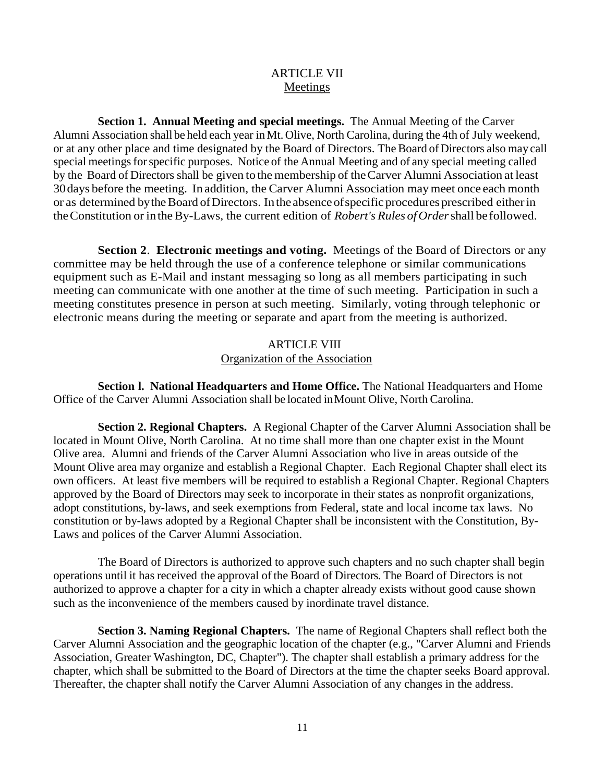# **ARTICLE VII** Meetings

**Section 1. Annual Meeting and special meetings.** The Annual Meeting of the Carver Alumni Association shall be held each year inMt. Olive, North Carolina, during the 4th of July weekend, or at any other place and time designated by the Board of Directors. The Board of Directors also may call special meetings for specific purposes. Notice of the Annual Meeting and of any special meeting called by the Board of Directors shall be given to the membership of theCarver Alumni Association at least 30days before the meeting. In addition, the Carver Alumni Association maymeet once each month or as determined by the Board of Directors. In the absence of specific procedures prescribed either in theConstitution or intheBy-Laws, the current edition of *Robert's Rules ofOrder*shall be followed.

**Section 2**. **Electronic meetings and voting.** Meetings of the Board of Directors or any committee may be held through the use of a conference telephone or similar communications equipment such as E-Mail and instant messaging so long as all members participating in such meeting can communicate with one another at the time of such meeting. Participation in such a meeting constitutes presence in person at such meeting. Similarly, voting through telephonic or electronic means during the meeting or separate and apart from the meeting is authorized.

### ARTICLE VIII Organization of the Association

**Section l. National Headquarters and Home Office.** The National Headquarters and Home Office of the Carver Alumni Association shall be located inMount Olive, North Carolina.

**Section 2. Regional Chapters.** A Regional Chapter of the Carver Alumni Association shall be located in Mount Olive, North Carolina. At no time shall more than one chapter exist in the Mount Olive area. Alumni and friends of the Carver Alumni Association who live in areas outside of the Mount Olive area may organize and establish a Regional Chapter. Each Regional Chapter shall elect its own officers. At least five members will be required to establish a Regional Chapter. Regional Chapters approved by the Board of Directors may seek to incorporate in their states as nonprofit organizations, adopt constitutions, by-laws, and seek exemptions from Federal, state and local income tax laws. No constitution or by-laws adopted by a Regional Chapter shall be inconsistent with the Constitution, By-Laws and polices of the Carver Alumni Association.

The Board of Directors is authorized to approve such chapters and no such chapter shall begin operations until it has received the approval of the Board of Directors. The Board of Directors is not authorized to approve a chapter for a city in which a chapter already exists without good cause shown such as the inconvenience of the members caused by inordinate travel distance.

**Section 3. Naming Regional Chapters.** The name of Regional Chapters shall reflect both the Carver Alumni Association and the geographic location of the chapter (e.g., "Carver Alumni and Friends Association, Greater Washington, DC, Chapter"). The chapter shall establish a primary address for the chapter, which shall be submitted to the Board of Directors at the time the chapter seeks Board approval. Thereafter, the chapter shall notify the Carver Alumni Association of any changes in the address.